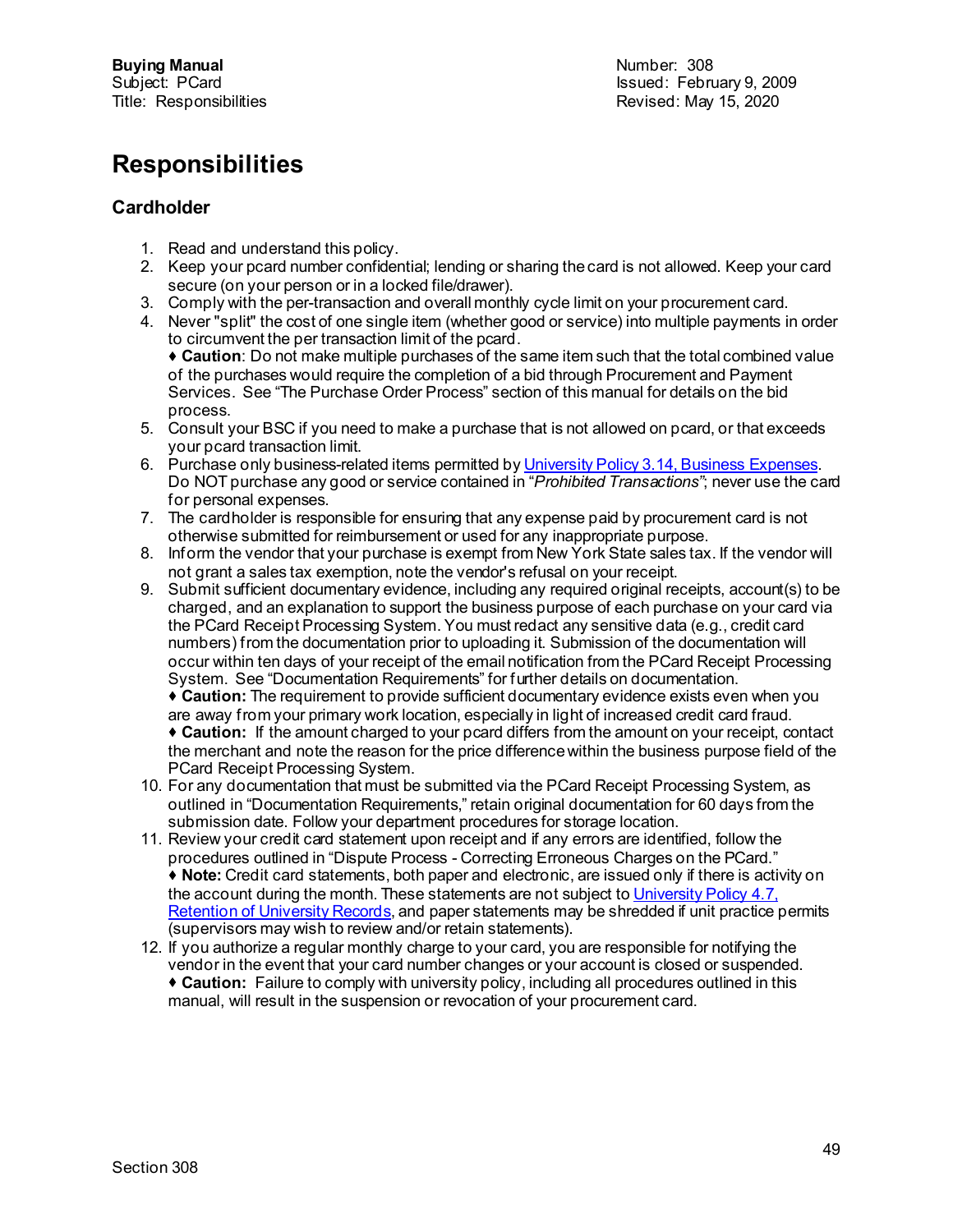# **Responsibilities**

# **Cardholder**

- 1. Read and understand this policy.
- 2. Keep your pcard number confidential; lending or sharing the card is not allowed. Keep your card secure (on your person or in a locked file/drawer).
- 3. Comply with the per-transaction and overall monthly cycle limit on your procurement card.
- 4. Never "split" the cost of one single item (whether good or service) into multiple payments in order to circumvent the per transaction limit of the pcard.

 **Caution**: Do not make multiple purchases of the same item such that the total combined value of the purchases would require the completion of a bid through Procurement and Payment Services. See "The Purchase Order Process" section of this manual for details on the bid process.

- 5. Consult your BSC if you need to make a purchase that is not allowed on pcard, or that exceeds your pcard transaction limit.
- 6. Purchase only business-related items permitted b[y University Policy 3.14, Business Expenses](https://www.dfa.cornell.edu/sites/default/files/policy/vol3_14.pdf). Do NOT purchase any good or service contained in "*Prohibited Transactions"*; never use the card for personal expenses.
- 7. The cardholder is responsible for ensuring that any expense paid by procurement card is not otherwise submitted for reimbursement or used for any inappropriate purpose.
- 8. Inform the vendor that your purchase is exempt from New York State sales tax. If the vendor will not grant a sales tax exemption, note the vendor's refusal on your receipt.
- 9. Submit sufficient documentary evidence, including any required original receipts, account(s) to be charged, and an explanation to support the business purpose of each purchase on your card via the PCard Receipt Processing System. You must redact any sensitive data (e.g., credit card numbers) from the documentation prior to uploading it. Submission of the documentation will occur within ten days of your receipt of the email notification from the PCard Receipt Processing System. See "Documentation Requirements" for further details on documentation.

 **Caution:** The requirement to provide sufficient documentary evidence exists even when you are away from your primary work location, especially in light of increased credit card fraud.

 **Caution:** If the amount charged to your pcard differs from the amount on your receipt, contact the merchant and note the reason for the price difference within the business purpose field of the PCard Receipt Processing System.

- 10. For any documentation that must be submitted via the PCard Receipt Processing System, as outlined in "Documentation Requirements," retain original documentation for 60 days from the submission date. Follow your department procedures for storage location.
- 11. Review your credit card statement upon receipt and if any errors are identified, follow the procedures outlined in "Dispute Process - Correcting Erroneous Charges on the PCard." **Note:** Credit card statements, both paper and electronic, are issued only if there is activity on the account during the month. These statements are not subject to University Policy 4.7, [Retention of University Records](https://www.dfa.cornell.edu/sites/default/files/policy/vol4_7.pdf), and paper statements may be shredded if unit practice permits (supervisors may wish to review and/or retain statements).
- 12. If you authorize a regular monthly charge to your card, you are responsible for notifying the vendor in the event that your card number changes or your account is closed or suspended. **Caution:** Failure to comply with university policy, including all procedures outlined in this manual, will result in the suspension or revocation of your procurement card.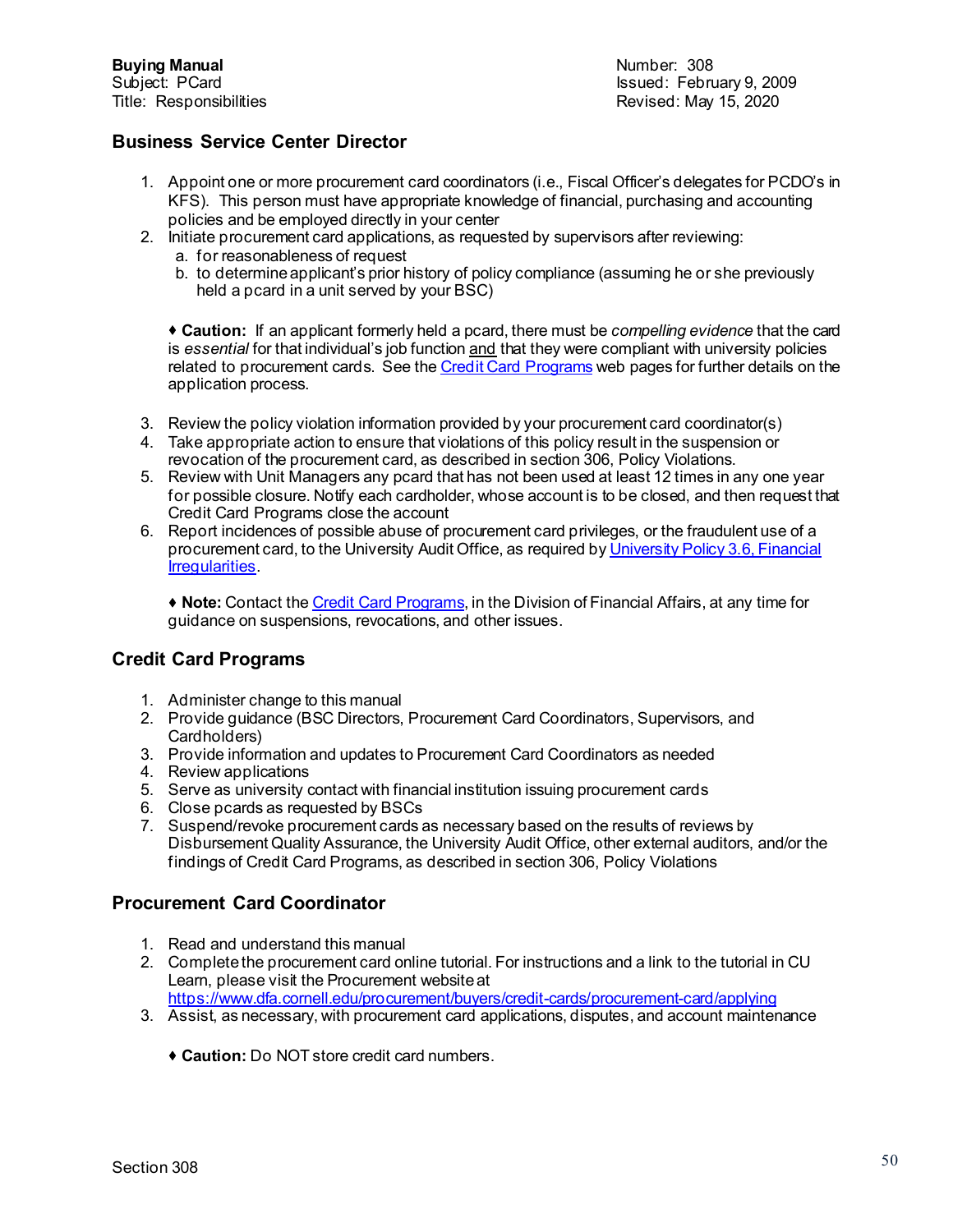Subject: PCard Issued: February 9, 2009 Revised: May 15, 2020

## **Business Service Center Director**

- 1. Appoint one or more procurement card coordinators (i.e., Fiscal Officer's delegates for PCDO's in KFS). This person must have appropriate knowledge of financial, purchasing and accounting policies and be employed directly in your center
- 2. Initiate procurement card applications, as requested by supervisors after reviewing:
	- a. for reasonableness of request
	- b. to determine applicant's prior history of policy compliance (assuming he or she previously held a pcard in a unit served by your BSC)

 **Caution:** If an applicant formerly held a pcard, there must be *compelling evidence* that the card is *essential* for that individual's job function and that they were compliant with university policies related to procurement cards. See th[e Credit Card Programs](http://www.dfa.cornell.edu/procurement/buyers/credit-cards) web pages for further details on the application process.

- 3. Review the policy violation information provided by your procurement card coordinator(s)
- 4. Take appropriate action to ensure that violations of this policy result in the suspension or revocation of the procurement card, as described in section 306, Policy Violations.
- 5. Review with Unit Managers any pcard that has not been used at least 12 times in any one year for possible closure. Notify each cardholder, whose account is to be closed, and then request that Credit Card Programs close the account
- 6. Report incidences of possible abuse of procurement card privileges, or the fraudulent use of a procurement card, to the University Audit Office, as required by University Policy 3.6, Financial [Irregularities.](https://www.dfa.cornell.edu/sites/default/files/policy/vol3_6.pdf)

 **Note:** Contact the [Credit Card Programs](mailto:creditcards@cornell.edu), in the Division of Financial Affairs, at any time for guidance on suspensions, revocations, and other issues.

#### **Credit Card Programs**

- 1. Administer change to this manual
- 2. Provide guidance (BSC Directors, Procurement Card Coordinators, Supervisors, and Cardholders)
- 3. Provide information and updates to Procurement Card Coordinators as needed
- 4. Review applications
- 5. Serve as university contact with financial institution issuing procurement cards
- 6. Close pcards as requested by BSCs
- 7. Suspend/revoke procurement cards as necessary based on the results of reviews by Disbursement Quality Assurance, the University Audit Office, other external auditors, and/or the findings of Credit Card Programs, as described in section 306, Policy Violations

#### **Procurement Card Coordinator**

- 1. Read and understand this manual
- 2. Complete the procurement card online tutorial. For instructions and a link to the tutorial in CU Learn, please visit the Procurement website at
- <https://www.dfa.cornell.edu/procurement/buyers/credit-cards/procurement-card/applying>
- 3. Assist, as necessary, with procurement card applications, disputes, and account maintenance
	- **Caution:** Do NOT store credit card numbers.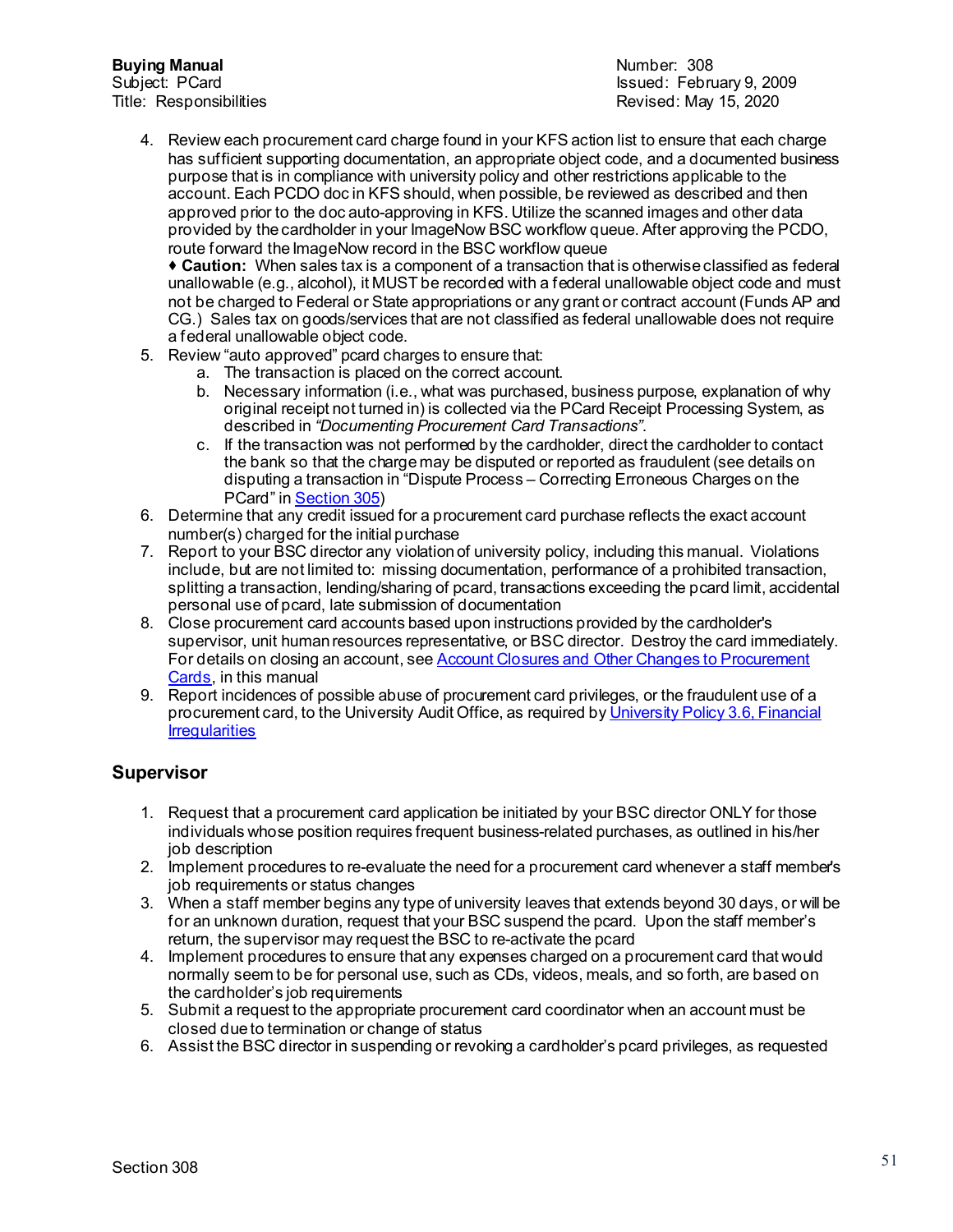**Buying Manual Number: 308**<br>
Subject: PCard Number: 308<br>
Subject: PCard

Subject: PCard Issued: February 9, 2009 Revised: May 15, 2020

4. Review each procurement card charge found in your KFS action list to ensure that each charge has sufficient supporting documentation, an appropriate object code, and a documented business purpose that is in compliance with university policy and other restrictions applicable to the account. Each PCDO doc in KFS should, when possible, be reviewed as described and then approved prior to the doc auto-approving in KFS. Utilize the scanned images and other data provided by the cardholder in your ImageNow BSC workflow queue. After approving the PCDO, route forward the ImageNow record in the BSC workflow queue

 **Caution:** When sales tax is a component of a transaction that is otherwise classified as federal unallowable (e.g., alcohol), it MUST be recorded with a federal unallowable object code and must not be charged to Federal or State appropriations or any grant or contract account (Funds AP and CG.) Sales tax on goods/services that are not classified as federal unallowable does not require a federal unallowable object code.

- 5. Review "auto approved" pcard charges to ensure that:
	- a. The transaction is placed on the correct account.
	- b. Necessary information (i.e., what was purchased, business purpose, explanation of why original receipt not turned in) is collected via the PCard Receipt Processing System, as described in *"Documenting Procurement Card Transactions"*.
	- c. If the transaction was not performed by the cardholder, direct the cardholder to contact the bank so that the charge may be disputed or reported as fraudulent (see details on disputing a transaction in "Dispute Process – Correcting Erroneous Charges on the PCard" i[n Section 305](https://www.dfa.cornell.edu/sites/default/files/bm-section-305.pdf))
- 6. Determine that any credit issued for a procurement card purchase reflects the exact account number(s) charged for the initial purchase
- 7. Report to your BSC director any violation of university policy, including this manual. Violations include, but are not limited to: missing documentation, performance of a prohibited transaction, splitting a transaction, lending/sharing of pcard, transactions exceeding the pcard limit, accidental personal use of pcard, late submission of documentation
- 8. Close procurement card accounts based upon instructions provided by the cardholder's supervisor, unit human resources representative, or BSC director. Destroy the card immediately. For details on closing an account, see Account Closures and Other Changes to Procurement [Cards,](https://www.dfa.cornell.edu/sites/default/files/bm-section-305.pdf) in this manual
- 9. Report incidences of possible abuse of procurement card privileges, or the fraudulent use of a procurement card, to the University Audit Office, as required b[y University Policy 3.6, Financial](https://www.dfa.cornell.edu/sites/default/files/policy/vol3_6.pdf)  **Irreqularities**

# **Supervisor**

- 1. Request that a procurement card application be initiated by your BSC director ONLY for those individuals whose position requires frequent business-related purchases, as outlined in his/her job description
- 2. Implement procedures to re-evaluate the need for a procurement card whenever a staff member's job requirements or status changes
- 3. When a staff member begins any type of university leaves that extends beyond 30 days, or will be for an unknown duration, request that your BSC suspend the pcard. Upon the staff member's return, the supervisor may request the BSC to re-activate the pcard
- 4. Implement procedures to ensure that any expenses charged on a procurement card that would normally seem to be for personal use, such as CDs, videos, meals, and so forth, are based on the cardholder's job requirements
- 5. Submit a request to the appropriate procurement card coordinator when an account must be closed due to termination or change of status
- 6. Assist the BSC director in suspending or revoking a cardholder's pcard privileges, as requested